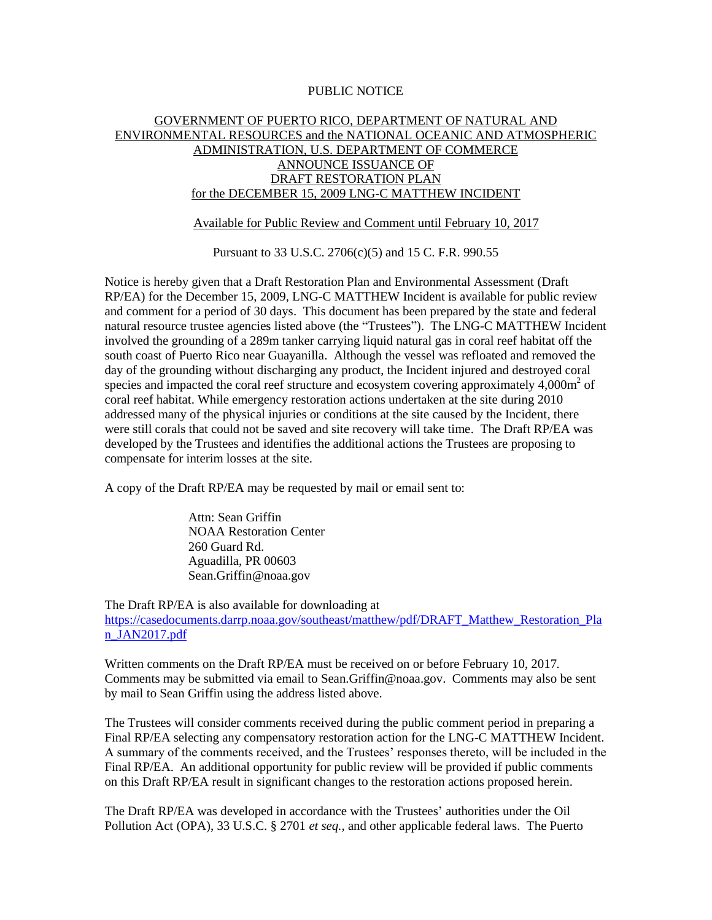## PUBLIC NOTICE

## GOVERNMENT OF PUERTO RICO, DEPARTMENT OF NATURAL AND ENVIRONMENTAL RESOURCES and the NATIONAL OCEANIC AND ATMOSPHERIC ADMINISTRATION, U.S. DEPARTMENT OF COMMERCE ANNOUNCE ISSUANCE OF DRAFT RESTORATION PLAN for the DECEMBER 15, 2009 LNG-C MATTHEW INCIDENT

## Available for Public Review and Comment until February 10, 2017

Pursuant to 33 U.S.C. 2706(c)(5) and 15 C. F.R. 990.55

Notice is hereby given that a Draft Restoration Plan and Environmental Assessment (Draft RP/EA) for the December 15, 2009, LNG-C MATTHEW Incident is available for public review and comment for a period of 30 days. This document has been prepared by the state and federal natural resource trustee agencies listed above (the "Trustees"). The LNG-C MATTHEW Incident involved the grounding of a 289m tanker carrying liquid natural gas in coral reef habitat off the south coast of Puerto Rico near Guayanilla. Although the vessel was refloated and removed the day of the grounding without discharging any product, the Incident injured and destroyed coral species and impacted the coral reef structure and ecosystem covering approximately  $4,000\text{m}^2$  of coral reef habitat. While emergency restoration actions undertaken at the site during 2010 addressed many of the physical injuries or conditions at the site caused by the Incident, there were still corals that could not be saved and site recovery will take time. The Draft RP/EA was developed by the Trustees and identifies the additional actions the Trustees are proposing to compensate for interim losses at the site.

A copy of the Draft RP/EA may be requested by mail or email sent to:

Attn: Sean Griffin NOAA Restoration Center 260 Guard Rd. Aguadilla, PR 00603 Sean.Griffin@noaa.gov

The Draft RP/EA is also available for downloading at [https://casedocuments.darrp.noaa.gov/southeast/matthew/pdf/DRAFT\\_Matthew\\_Restoration\\_Pla](https://casedocuments.darrp.noaa.gov/southeast/matthew/pdf/DRAFT_Matthew_Restoration_Plan_JAN2017.pdf) [n\\_JAN2017.pdf](https://casedocuments.darrp.noaa.gov/southeast/matthew/pdf/DRAFT_Matthew_Restoration_Plan_JAN2017.pdf)

Written comments on the Draft RP/EA must be received on or before February 10, 2017*.*  Comments may be submitted via email to Sean.Griffin@noaa.gov. Comments may also be sent by mail to Sean Griffin using the address listed above.

The Trustees will consider comments received during the public comment period in preparing a Final RP/EA selecting any compensatory restoration action for the LNG-C MATTHEW Incident. A summary of the comments received, and the Trustees' responses thereto, will be included in the Final RP/EA. An additional opportunity for public review will be provided if public comments on this Draft RP/EA result in significant changes to the restoration actions proposed herein.

The Draft RP/EA was developed in accordance with the Trustees' authorities under the Oil Pollution Act (OPA), 33 U.S.C. § 2701 *et seq.,* and other applicable federal laws. The Puerto